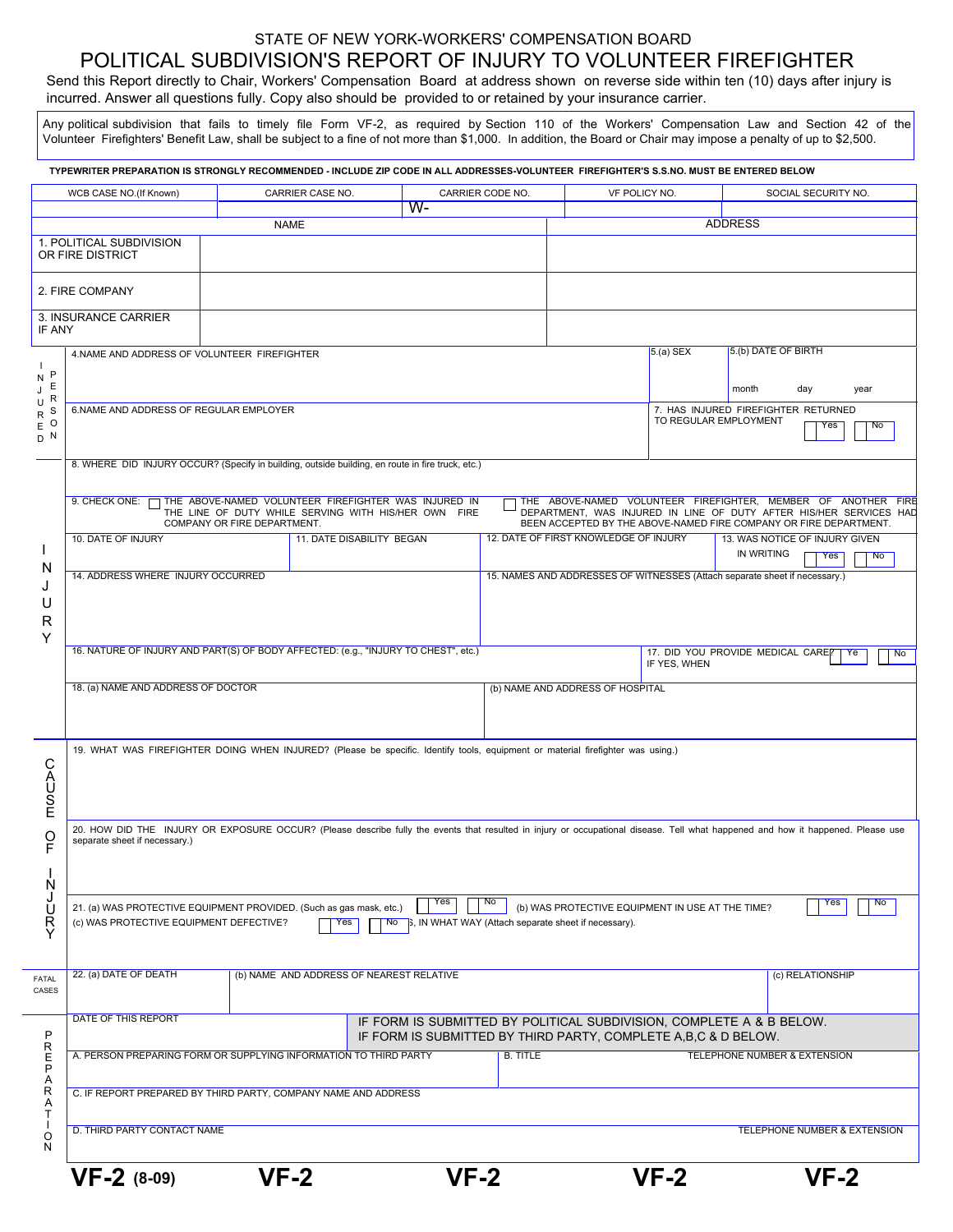# STATE OF NEW YORK-WORKERS' COMPENSATION BOARD POLITICAL SUBDIVISION'S REPORT OF INJURY TO VOLUNTEER FIREFIGHTER

Send this Report directly to Chair, Workers' Compensation Board at address shown on reverse side within ten (10) days after injury is incurred. Answer all questions fully. Copy also should be provided to or retained by your insurance carrier.

Any political subdivision that fails to timely file Form VF-2, as required by Section 110 of the Workers' Compensation Law and Section 42 of the Volunteer Firefighters' Benefit Law, shall be subject to a fine of not more than \$1,000. In addition, the Board or Chair may impose a penalty of up to \$2,500.

| TYPEWRITER PREPARATION IS STRONGLY RECOMMENDED - INCLUDE ZIP CODE IN ALL ADDRESSES-VOLUNTEER FIREFIGHTER'S S.S.NO. MUST BE ENTERED BELOW |                                                                                                                                                                                                                                                                                 |                                                                  |                  |                                                                                   |                                                                                                                                                                                                          |                                                                           |                                              |           |                              |  |
|------------------------------------------------------------------------------------------------------------------------------------------|---------------------------------------------------------------------------------------------------------------------------------------------------------------------------------------------------------------------------------------------------------------------------------|------------------------------------------------------------------|------------------|-----------------------------------------------------------------------------------|----------------------------------------------------------------------------------------------------------------------------------------------------------------------------------------------------------|---------------------------------------------------------------------------|----------------------------------------------|-----------|------------------------------|--|
| WCB CASE NO.(If Known)                                                                                                                   |                                                                                                                                                                                                                                                                                 | CARRIER CASE NO.                                                 | CARRIER CODE NO. |                                                                                   | VF POLICY NO.                                                                                                                                                                                            |                                                                           | SOCIAL SECURITY NO.                          |           |                              |  |
| $W -$<br><b>NAME</b>                                                                                                                     |                                                                                                                                                                                                                                                                                 |                                                                  |                  |                                                                                   | <b>ADDRESS</b>                                                                                                                                                                                           |                                                                           |                                              |           |                              |  |
|                                                                                                                                          | 1. POLITICAL SUBDIVISION<br>OR FIRE DISTRICT                                                                                                                                                                                                                                    |                                                                  |                  |                                                                                   |                                                                                                                                                                                                          |                                                                           |                                              |           |                              |  |
|                                                                                                                                          | 2. FIRE COMPANY                                                                                                                                                                                                                                                                 |                                                                  |                  |                                                                                   |                                                                                                                                                                                                          |                                                                           |                                              |           |                              |  |
|                                                                                                                                          | 3. INSURANCE CARRIER<br>IF ANY                                                                                                                                                                                                                                                  |                                                                  |                  |                                                                                   |                                                                                                                                                                                                          |                                                                           |                                              |           |                              |  |
| - 1<br>$\mathsf{P}$<br>${\sf N}$<br>Ε<br>J<br>$\mathsf R$<br>U<br>S<br>${\sf R}$<br>$\circ$<br>$\mathsf E$<br>$D$ N                      | 4.NAME AND ADDRESS OF VOLUNTEER FIREFIGHTER                                                                                                                                                                                                                                     |                                                                  |                  |                                                                                   |                                                                                                                                                                                                          | $5(a)$ SEX                                                                | 5.(b) DATE OF BIRTH                          |           |                              |  |
|                                                                                                                                          |                                                                                                                                                                                                                                                                                 |                                                                  |                  |                                                                                   |                                                                                                                                                                                                          |                                                                           | month                                        | day       | year                         |  |
|                                                                                                                                          | 6.NAME AND ADDRESS OF REGULAR EMPLOYER                                                                                                                                                                                                                                          |                                                                  |                  |                                                                                   |                                                                                                                                                                                                          | 7. HAS INJURED FIREFIGHTER RETURNED<br>TO REGULAR EMPLOYMENT<br>Yes<br>No |                                              |           |                              |  |
|                                                                                                                                          | 8. WHERE DID INJURY OCCUR? (Specify in building, outside building, en route in fire truck, etc.)                                                                                                                                                                                |                                                                  |                  |                                                                                   |                                                                                                                                                                                                          |                                                                           |                                              |           |                              |  |
| N<br>J<br>U<br>R<br>Υ                                                                                                                    | 9. CHECK ONE: THE ABOVE-NAMED VOLUNTEER FIREFIGHTER WAS INJURED IN<br>THE LINE OF DUTY WHILE SERVING WITH HIS/HER OWN FIRE<br>COMPANY OR FIRE DEPARTMENT.                                                                                                                       |                                                                  |                  |                                                                                   | THE ABOVE-NAMED VOLUNTEER FIREFIGHTER, MEMBER OF ANOTHER FIRE<br>DEPARTMENT, WAS INJURED IN LINE OF DUTY AFTER HIS/HER SERVICES HAD<br>BEEN ACCEPTED BY THE ABOVE-NAMED FIRE COMPANY OR FIRE DEPARTMENT. |                                                                           |                                              |           |                              |  |
|                                                                                                                                          | 10. DATE OF INJURY                                                                                                                                                                                                                                                              | 11. DATE DISABILITY BEGAN                                        |                  |                                                                                   | 12. DATE OF FIRST KNOWLEDGE OF INJURY                                                                                                                                                                    |                                                                           | 13. WAS NOTICE OF INJURY GIVEN<br>IN WRITING |           |                              |  |
|                                                                                                                                          | 14. ADDRESS WHERE INJURY OCCURRED                                                                                                                                                                                                                                               |                                                                  |                  | Yes<br>15. NAMES AND ADDRESSES OF WITNESSES (Attach separate sheet if necessary.) |                                                                                                                                                                                                          |                                                                           |                                              | <b>No</b> |                              |  |
|                                                                                                                                          |                                                                                                                                                                                                                                                                                 |                                                                  |                  |                                                                                   |                                                                                                                                                                                                          |                                                                           |                                              |           |                              |  |
|                                                                                                                                          | 16. NATURE OF INJURY AND PART(S) OF BODY AFFECTED: (e.g., "INJURY TO CHEST", etc.)                                                                                                                                                                                              |                                                                  |                  | 17. DID YOU PROVIDE MEDICAL CAREP<br>No<br>Ye<br>IF YES, WHEN                     |                                                                                                                                                                                                          |                                                                           |                                              |           |                              |  |
|                                                                                                                                          | 18. (a) NAME AND ADDRESS OF DOCTOR                                                                                                                                                                                                                                              |                                                                  |                  | (b) NAME AND ADDRESS OF HOSPITAL                                                  |                                                                                                                                                                                                          |                                                                           |                                              |           |                              |  |
|                                                                                                                                          |                                                                                                                                                                                                                                                                                 |                                                                  |                  |                                                                                   |                                                                                                                                                                                                          |                                                                           |                                              |           |                              |  |
| 19. WHAT WAS FIREFIGHTER DOING WHEN INJURED? (Please be specific. Identify tools, equipment or material firefighter was using.)<br>CAUSE |                                                                                                                                                                                                                                                                                 |                                                                  |                  |                                                                                   |                                                                                                                                                                                                          |                                                                           |                                              |           |                              |  |
| O                                                                                                                                        | 20. HOW DID THE INJURY OR EXPOSURE OCCUR? (Please describe fully the events that resulted in injury or occupational disease. Tell what happened and how it happened. Please use<br>separate sheet if necessary.)                                                                |                                                                  |                  |                                                                                   |                                                                                                                                                                                                          |                                                                           |                                              |           |                              |  |
| N                                                                                                                                        |                                                                                                                                                                                                                                                                                 |                                                                  |                  |                                                                                   |                                                                                                                                                                                                          |                                                                           |                                              |           |                              |  |
| J<br>Ŭ<br>RY                                                                                                                             | Yes<br>No<br><b>No</b><br>Yes<br>(b) WAS PROTECTIVE EQUIPMENT IN USE AT THE TIME?<br>21. (a) WAS PROTECTIVE EQUIPMENT PROVIDED. (Such as gas mask, etc.)<br>(c) WAS PROTECTIVE EQUIPMENT DEFECTIVE?<br>3, IN WHAT WAY (Attach separate sheet if necessary).<br>Yes<br><b>No</b> |                                                                  |                  |                                                                                   |                                                                                                                                                                                                          |                                                                           |                                              |           |                              |  |
| FATAL<br>CASES                                                                                                                           | 22. (a) DATE OF DEATH<br>(b) NAME AND ADDRESS OF NEAREST RELATIVE                                                                                                                                                                                                               |                                                                  |                  |                                                                                   | (c) RELATIONSHIP                                                                                                                                                                                         |                                                                           |                                              |           |                              |  |
| P<br>R<br>E<br>P<br>Α                                                                                                                    | DATE OF THIS REPORT<br>IF FORM IS SUBMITTED BY POLITICAL SUBDIVISION, COMPLETE A & B BELOW.<br>IF FORM IS SUBMITTED BY THIRD PARTY, COMPLETE A,B,C & D BELOW.                                                                                                                   |                                                                  |                  |                                                                                   |                                                                                                                                                                                                          |                                                                           |                                              |           |                              |  |
|                                                                                                                                          |                                                                                                                                                                                                                                                                                 | A. PERSON PREPARING FORM OR SUPPLYING INFORMATION TO THIRD PARTY |                  | <b>B. TITLE</b>                                                                   |                                                                                                                                                                                                          |                                                                           | <b>TELEPHONE NUMBER &amp; EXTENSION</b>      |           |                              |  |
| R<br>Α<br>Т                                                                                                                              | C. IF REPORT PREPARED BY THIRD PARTY, COMPANY NAME AND ADDRESS                                                                                                                                                                                                                  |                                                                  |                  |                                                                                   |                                                                                                                                                                                                          |                                                                           |                                              |           |                              |  |
| O<br>N                                                                                                                                   | D. THIRD PARTY CONTACT NAME                                                                                                                                                                                                                                                     |                                                                  |                  |                                                                                   |                                                                                                                                                                                                          |                                                                           |                                              |           | TELEPHONE NUMBER & EXTENSION |  |
|                                                                                                                                          | $VF-2$ (8-09)                                                                                                                                                                                                                                                                   | $VF-2$                                                           | $VF-2$           |                                                                                   |                                                                                                                                                                                                          | $VF-2$                                                                    |                                              | $VF-2$    |                              |  |